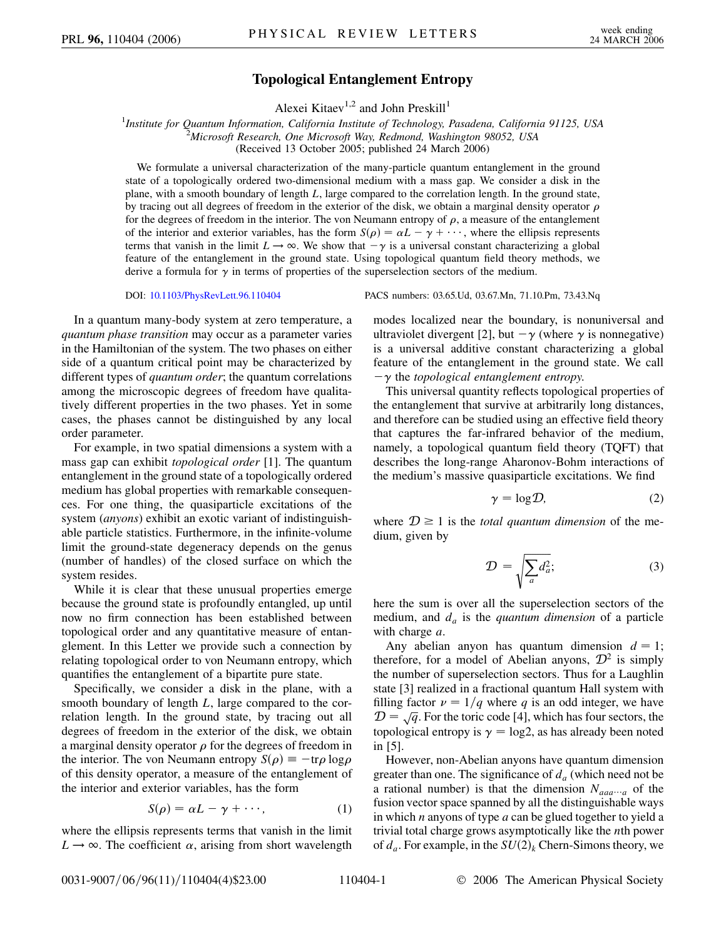## **Topological Entanglement Entropy**

Alexei Kitaev<sup>1,2</sup> and John Preskill<sup>1</sup>

<sup>1</sup>Institute for Quantum Information, California Institute of Technology, Pasadena, California 91125, USA<br><sup>2</sup>Microsoft Research, One Microsoft Way, Redmond, Washington 08052, USA *Microsoft Research, One Microsoft Way, Redmond, Washington 98052, USA* (Received 13 October 2005; published 24 March 2006)

We formulate a universal characterization of the many-particle quantum entanglement in the ground state of a topologically ordered two-dimensional medium with a mass gap. We consider a disk in the plane, with a smooth boundary of length *L*, large compared to the correlation length. In the ground state, by tracing out all degrees of freedom in the exterior of the disk, we obtain a marginal density operator  $\rho$ for the degrees of freedom in the interior. The von Neumann entropy of  $\rho$ , a measure of the entanglement of the interior and exterior variables, has the form  $S(\rho) = \alpha L - \gamma + \cdots$ , where the ellipsis represents terms that vanish in the limit  $L \rightarrow \infty$ . We show that  $-\gamma$  is a universal constant characterizing a global feature of the entanglement in the ground state. Using topological quantum field theory methods, we derive a formula for  $\gamma$  in terms of properties of the superselection sectors of the medium.

In a quantum many-body system at zero temperature, a *quantum phase transition* may occur as a parameter varies in the Hamiltonian of the system. The two phases on either side of a quantum critical point may be characterized by different types of *quantum order*; the quantum correlations among the microscopic degrees of freedom have qualitatively different properties in the two phases. Yet in some cases, the phases cannot be distinguished by any local order parameter.

For example, in two spatial dimensions a system with a mass gap can exhibit *topological order* [1]. The quantum entanglement in the ground state of a topologically ordered medium has global properties with remarkable consequences. For one thing, the quasiparticle excitations of the system (*anyons*) exhibit an exotic variant of indistinguishable particle statistics. Furthermore, in the infinite-volume limit the ground-state degeneracy depends on the genus (number of handles) of the closed surface on which the system resides.

While it is clear that these unusual properties emerge because the ground state is profoundly entangled, up until now no firm connection has been established between topological order and any quantitative measure of entanglement. In this Letter we provide such a connection by relating topological order to von Neumann entropy, which quantifies the entanglement of a bipartite pure state.

Specifically, we consider a disk in the plane, with a smooth boundary of length *L*, large compared to the correlation length. In the ground state, by tracing out all degrees of freedom in the exterior of the disk, we obtain a marginal density operator  $\rho$  for the degrees of freedom in the interior. The von Neumann entropy  $S(\rho) \equiv -\text{tr}\rho \log \rho$ of this density operator, a measure of the entanglement of the interior and exterior variables, has the form

$$
S(\rho) = \alpha L - \gamma + \cdots,\tag{1}
$$

where the ellipsis represents terms that vanish in the limit  $L \rightarrow \infty$ . The coefficient  $\alpha$ , arising from short wavelength

DOI: [10.1103/PhysRevLett.96.110404](http://dx.doi.org/10.1103/PhysRevLett.96.110404) PACS numbers: 03.65.Ud, 03.67.Mn, 71.10.Pm, 73.43.Nq

modes localized near the boundary, is nonuniversal and ultraviolet divergent [2], but  $-\gamma$  (where  $\gamma$  is nonnegative) is a universal additive constant characterizing a global feature of the entanglement in the ground state. We call  $-\gamma$  the *topological entanglement entropy*.

This universal quantity reflects topological properties of the entanglement that survive at arbitrarily long distances, and therefore can be studied using an effective field theory that captures the far-infrared behavior of the medium, namely, a topological quantum field theory (TQFT) that describes the long-range Aharonov-Bohm interactions of the medium's massive quasiparticle excitations. We find

$$
\gamma = \log \mathcal{D},\tag{2}
$$

where  $D \ge 1$  is the *total quantum dimension* of the medium, given by

$$
\mathcal{D} = \sqrt{\sum_{a} d_a^2};\tag{3}
$$

here the sum is over all the superselection sectors of the medium, and  $d_a$  is the *quantum dimension* of a particle with charge *a*.

Any abelian anyon has quantum dimension  $d = 1$ ; therefore, for a model of Abelian anyons,  $\mathcal{D}^2$  is simply the number of superselection sectors. Thus for a Laughlin state [3] realized in a fractional quantum Hall system with filling factor  $\nu = 1/q$  where q is an odd integer, we have  $\mathcal{D} = \sqrt{q}$ . For the toric code [4], which has four sectors, the topological entropy is  $\gamma = \log 2$ , as has already been noted in [5].

However, non-Abelian anyons have quantum dimension greater than one. The significance of  $d_a$  (which need not be a rational number) is that the dimension  $N_{aaa\cdots a}$  of the fusion vector space spanned by all the distinguishable ways in which *n* anyons of type *a* can be glued together to yield a trivial total charge grows asymptotically like the *n*th power of  $d_a$ . For example, in the  $SU(2)_k$  Chern-Simons theory, we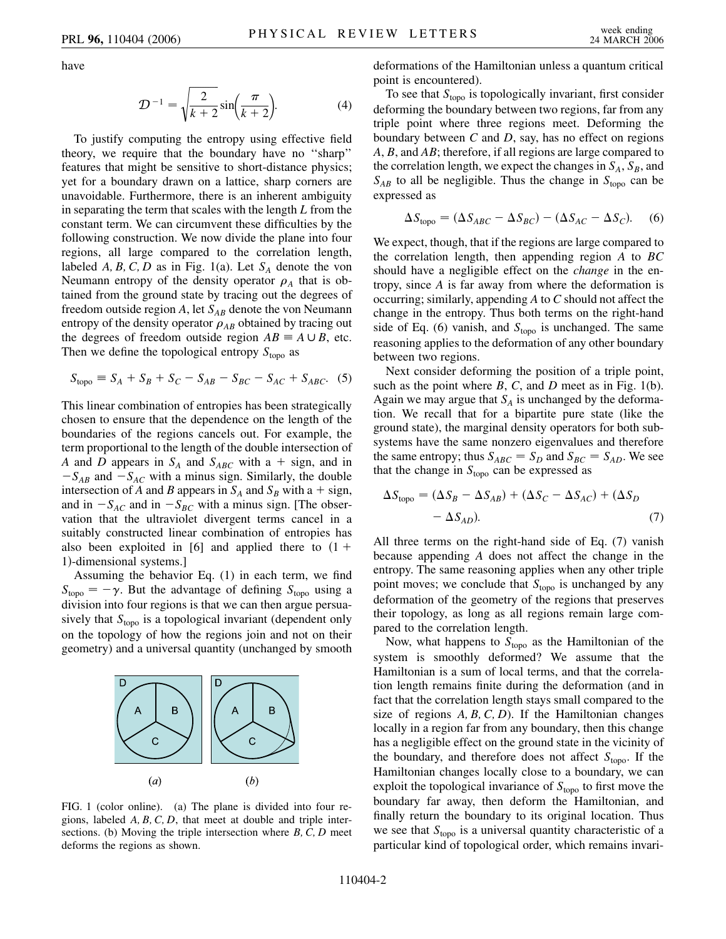have

$$
\mathcal{D}^{-1} = \sqrt{\frac{2}{k+2}} \sin\left(\frac{\pi}{k+2}\right).
$$
 (4)

To justify computing the entropy using effective field theory, we require that the boundary have no ''sharp'' features that might be sensitive to short-distance physics; yet for a boundary drawn on a lattice, sharp corners are unavoidable. Furthermore, there is an inherent ambiguity in separating the term that scales with the length *L* from the constant term. We can circumvent these difficulties by the following construction. We now divide the plane into four regions, all large compared to the correlation length, labeled *A*, *B*, *C*, *D* as in Fig. 1(a). Let  $S_A$  denote the von Neumann entropy of the density operator  $\rho_A$  that is obtained from the ground state by tracing out the degrees of freedom outside region  $A$ , let  $S_{AB}$  denote the von Neumann entropy of the density operator  $\rho_{AB}$  obtained by tracing out the degrees of freedom outside region  $AB \equiv A \cup B$ , etc. Then we define the topological entropy  $S_{\text{topo}}$  as

$$
S_{\text{topo}} \equiv S_A + S_B + S_C - S_{AB} - S_{BC} - S_{AC} + S_{ABC}.
$$
 (5)

This linear combination of entropies has been strategically chosen to ensure that the dependence on the length of the boundaries of the regions cancels out. For example, the term proportional to the length of the double intersection of *A* and *D* appears in  $S_A$  and  $S_{ABC}$  with a + sign, and in  $-S_{AB}$  and  $-S_{AC}$  with a minus sign. Similarly, the double intersection of *A* and *B* appears in  $S_A$  and  $S_B$  with a + sign, and in  $-S_{AC}$  and in  $-S_{BC}$  with a minus sign. [The observation that the ultraviolet divergent terms cancel in a suitably constructed linear combination of entropies has also been exploited in [6] and applied there to  $(1 +$ 1)-dimensional systems.]

Assuming the behavior Eq. (1) in each term, we find  $S_{\text{topo}} = -\gamma$ . But the advantage of defining  $S_{\text{topo}}$  using a division into four regions is that we can then argue persuasively that  $S_{\text{topo}}$  is a topological invariant (dependent only on the topology of how the regions join and not on their geometry) and a universal quantity (unchanged by smooth



FIG. 1 (color online). (a) The plane is divided into four regions, labeled *A; B; C; D*, that meet at double and triple intersections. (b) Moving the triple intersection where *B; C; D* meet deforms the regions as shown.

deformations of the Hamiltonian unless a quantum critical point is encountered).

To see that *S*<sub>topo</sub> is topologically invariant, first consider deforming the boundary between two regions, far from any triple point where three regions meet. Deforming the boundary between *C* and *D*, say, has no effect on regions *A*, *B*, and *AB*; therefore, if all regions are large compared to the correlation length, we expect the changes in  $S_A$ ,  $S_B$ , and  $S_{AB}$  to all be negligible. Thus the change in  $S_{topo}$  can be expressed as

$$
\Delta S_{\text{topo}} = (\Delta S_{ABC} - \Delta S_{BC}) - (\Delta S_{AC} - \Delta S_C). \tag{6}
$$

We expect, though, that if the regions are large compared to the correlation length, then appending region *A* to *BC* should have a negligible effect on the *change* in the entropy, since *A* is far away from where the deformation is occurring; similarly, appending *A* to *C* should not affect the change in the entropy. Thus both terms on the right-hand side of Eq. (6) vanish, and  $S_{\text{topo}}$  is unchanged. The same reasoning applies to the deformation of any other boundary between two regions.

Next consider deforming the position of a triple point, such as the point where *B*, *C*, and *D* meet as in Fig. 1(b). Again we may argue that  $S_A$  is unchanged by the deformation. We recall that for a bipartite pure state (like the ground state), the marginal density operators for both subsystems have the same nonzero eigenvalues and therefore the same entropy; thus  $S_{ABC} = S_D$  and  $S_{BC} = S_{AD}$ . We see that the change in  $S_{\text{topo}}$  can be expressed as

$$
\Delta S_{\text{topo}} = (\Delta S_B - \Delta S_{AB}) + (\Delta S_C - \Delta S_{AC}) + (\Delta S_D - \Delta S_{AD}).
$$
\n(7)

All three terms on the right-hand side of Eq. (7) vanish because appending *A* does not affect the change in the entropy. The same reasoning applies when any other triple point moves; we conclude that  $S_{topo}$  is unchanged by any deformation of the geometry of the regions that preserves their topology, as long as all regions remain large compared to the correlation length.

Now, what happens to  $S_{\text{topo}}$  as the Hamiltonian of the system is smoothly deformed? We assume that the Hamiltonian is a sum of local terms, and that the correlation length remains finite during the deformation (and in fact that the correlation length stays small compared to the size of regions *A; B; C; D*). If the Hamiltonian changes locally in a region far from any boundary, then this change has a negligible effect on the ground state in the vicinity of the boundary, and therefore does not affect  $S_{\text{topo}}$ . If the Hamiltonian changes locally close to a boundary, we can exploit the topological invariance of  $S_{\text{topo}}$  to first move the boundary far away, then deform the Hamiltonian, and finally return the boundary to its original location. Thus we see that *S*<sub>topo</sub> is a universal quantity characteristic of a particular kind of topological order, which remains invari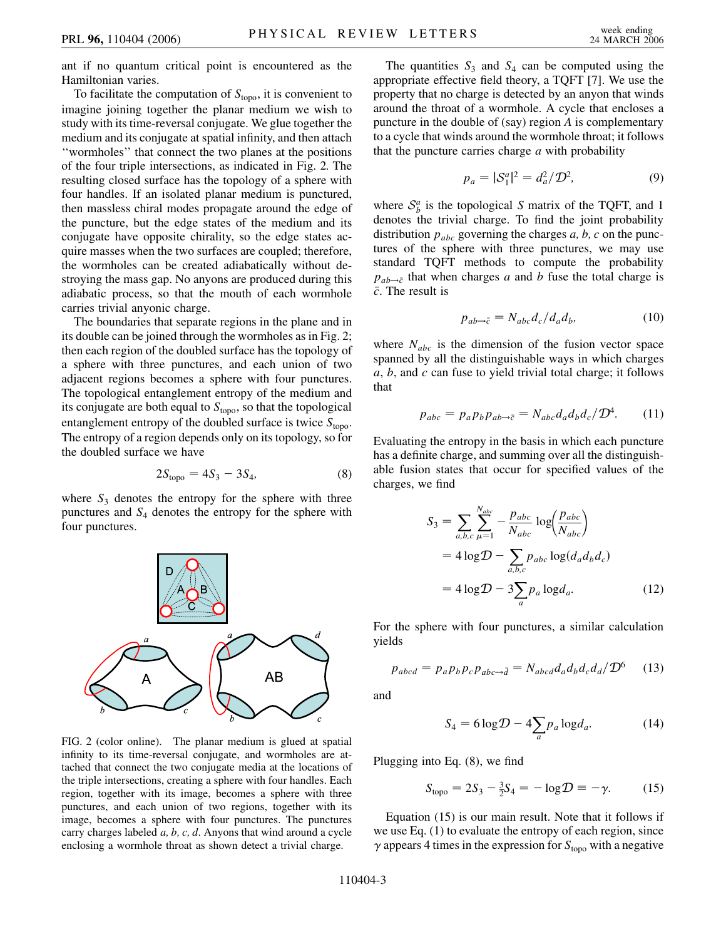ant if no quantum critical point is encountered as the Hamiltonian varies.

To facilitate the computation of  $S_{\text{topo}}$ , it is convenient to imagine joining together the planar medium we wish to study with its time-reversal conjugate. We glue together the medium and its conjugate at spatial infinity, and then attach ''wormholes'' that connect the two planes at the positions of the four triple intersections, as indicated in Fig. 2. The resulting closed surface has the topology of a sphere with four handles. If an isolated planar medium is punctured, then massless chiral modes propagate around the edge of the puncture, but the edge states of the medium and its conjugate have opposite chirality, so the edge states acquire masses when the two surfaces are coupled; therefore, the wormholes can be created adiabatically without destroying the mass gap. No anyons are produced during this adiabatic process, so that the mouth of each wormhole carries trivial anyonic charge.

The boundaries that separate regions in the plane and in its double can be joined through the wormholes as in Fig. 2; then each region of the doubled surface has the topology of a sphere with three punctures, and each union of two adjacent regions becomes a sphere with four punctures. The topological entanglement entropy of the medium and its conjugate are both equal to  $S_{\text{topo}}$ , so that the topological entanglement entropy of the doubled surface is twice  $S_{\text{topo}}$ . The entropy of a region depends only on its topology, so for the doubled surface we have

$$
2S_{\text{topo}} = 4S_3 - 3S_4,\tag{8}
$$

where  $S_3$  denotes the entropy for the sphere with three punctures and *S*<sup>4</sup> denotes the entropy for the sphere with four punctures.



FIG. 2 (color online). The planar medium is glued at spatial infinity to its time-reversal conjugate, and wormholes are attached that connect the two conjugate media at the locations of the triple intersections, creating a sphere with four handles. Each region, together with its image, becomes a sphere with three punctures, and each union of two regions, together with its image, becomes a sphere with four punctures. The punctures carry charges labeled *a; b; c; d*. Anyons that wind around a cycle enclosing a wormhole throat as shown detect a trivial charge.

The quantities  $S_3$  and  $S_4$  can be computed using the appropriate effective field theory, a TQFT [7]. We use the property that no charge is detected by an anyon that winds around the throat of a wormhole. A cycle that encloses a puncture in the double of (say) region *A* is complementary to a cycle that winds around the wormhole throat; it follows that the puncture carries charge *a* with probability

$$
p_a = |\mathcal{S}_1^a|^2 = d_a^2 / \mathcal{D}^2,\tag{9}
$$

where  $S_b^a$  is the topological *S* matrix of the TQFT, and 1 denotes the trivial charge. To find the joint probability distribution *pabc* governing the charges *a; b; c* on the punctures of the sphere with three punctures, we may use standard TQFT methods to compute the probability  $p_{ab\rightarrow \bar{c}}$  that when charges *a* and *b* fuse the total charge is *c*-. The result is

$$
p_{ab \to \bar{c}} = N_{abc} d_c / d_a d_b, \qquad (10)
$$

where  $N_{abc}$  is the dimension of the fusion vector space spanned by all the distinguishable ways in which charges *a*, *b*, and *c* can fuse to yield trivial total charge; it follows that

$$
p_{abc} = p_a p_b p_{ab \to \bar{c}} = N_{abc} d_a d_b d_c / \mathcal{D}^4. \tag{11}
$$

Evaluating the entropy in the basis in which each puncture has a definite charge, and summing over all the distinguishable fusion states that occur for specified values of the charges, we find

$$
S_3 = \sum_{a,b,c} \sum_{\mu=1}^{N_{abc}} -\frac{p_{abc}}{N_{abc}} \log \left( \frac{p_{abc}}{N_{abc}} \right)
$$
  
=  $4 \log \mathcal{D} - \sum_{a,b,c} p_{abc} \log (d_a d_b d_c)$   
=  $4 \log \mathcal{D} - 3 \sum_a p_a \log d_a.$  (12)

For the sphere with four punctures, a similar calculation yields

$$
p_{abcd} = p_a p_b p_c p_{abc \to \bar{d}} = N_{abcd} d_a d_b d_c d_d / \mathcal{D}^6 \tag{13}
$$

and

$$
S_4 = 6\log D - 4\sum_a p_a \log d_a.
$$
 (14)

Plugging into Eq. (8), we find

$$
S_{\text{topo}} = 2S_3 - \frac{3}{2}S_4 = -\log \mathcal{D} \equiv -\gamma.
$$
 (15)

Equation (15) is our main result. Note that it follows if we use Eq. (1) to evaluate the entropy of each region, since  $\gamma$  appears 4 times in the expression for  $S_{\text{topo}}$  with a negative